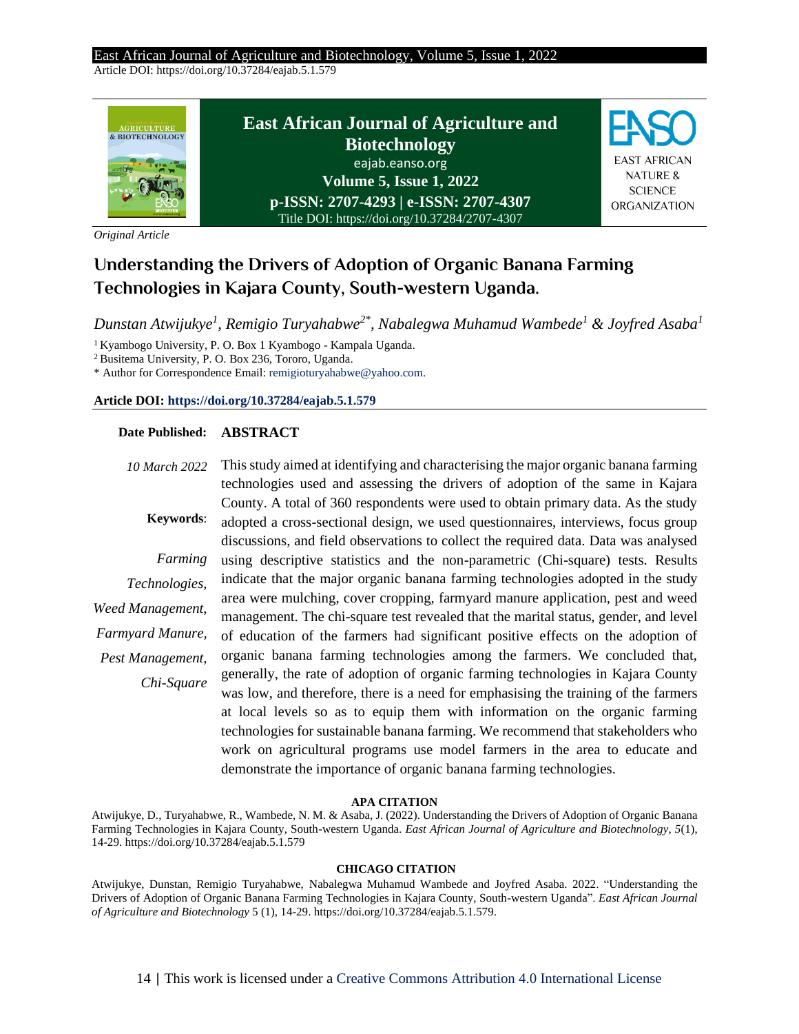#### East African Journal of Agriculture and Biotechnology, Volume 5, Issue 1, 2022 Article DOI: https://doi.org/10.37284/eajab.5.1.579

**East African Journal of Agriculture and**  AGRICULTURE & BIOTECHNOLOGY **Biotechnology** EAST AFRICAN eajab.eanso.org NATURE & **Volume 5, Issue 1, 2022 SCIENCE p-ISSN: 2707-4293 | e-ISSN: 2707-4307** ORGANIZATION Title DOI: https://doi.org/10.37284/2707-4307

*Original Article*

# **Understanding the Drivers of Adoption of Organic Banana Farming Technologies in Kajara County, South-western Uganda.**

*Dunstan Atwijukye<sup>1</sup> , Remigio Turyahabwe2\* , Nabalegwa Muhamud Wambede<sup>1</sup> & Joyfred Asaba<sup>1</sup>*

<sup>1</sup> Kyambogo University, P. O. Box 1 Kyambogo - Kampala Uganda.

<sup>2</sup>Busitema University, P. O. Box 236, Tororo, Uganda.

\* Author for Correspondence Email: remigioturyahabwe@yahoo.com.

#### **Article DOI[: https://doi.org/10.37284/eajab.5.1.579](https://doi.org/10.37284/eajab.5.1.579)**

### **Date Published: ABSTRACT**

*10 March 2022* **Keywords**: *Farming Technologies, Weed Management, Farmyard Manure, Pest Management, Chi-Square* This study aimed at identifying and characterising the major organic banana farming technologies used and assessing the drivers of adoption of the same in Kajara County. A total of 360 respondents were used to obtain primary data. As the study adopted a cross-sectional design, we used questionnaires, interviews, focus group discussions, and field observations to collect the required data. Data was analysed using descriptive statistics and the non-parametric (Chi-square) tests. Results indicate that the major organic banana farming technologies adopted in the study area were mulching, cover cropping, farmyard manure application, pest and weed management. The chi-square test revealed that the marital status, gender, and level of education of the farmers had significant positive effects on the adoption of organic banana farming technologies among the farmers. We concluded that, generally, the rate of adoption of organic farming technologies in Kajara County was low, and therefore, there is a need for emphasising the training of the farmers at local levels so as to equip them with information on the organic farming technologies for sustainable banana farming. We recommend that stakeholders who work on agricultural programs use model farmers in the area to educate and demonstrate the importance of organic banana farming technologies.

#### **APA CITATION**

Atwijukye, D., Turyahabwe, R., Wambede, N. M. & Asaba, J. (2022). Understanding the Drivers of Adoption of Organic Banana Farming Technologies in Kajara County, South-western Uganda. *East African Journal of Agriculture and Biotechnology*, *5*(1), 14-29. https://doi.org/10.37284/eajab.5.1.579

#### **CHICAGO CITATION**

Atwijukye, Dunstan, Remigio Turyahabwe, Nabalegwa Muhamud Wambede and Joyfred Asaba. 2022. "Understanding the Drivers of Adoption of Organic Banana Farming Technologies in Kajara County, South-western Uganda". *East African Journal of Agriculture and Biotechnology* 5 (1), 14-29. https://doi.org/10.37284/eajab.5.1.579.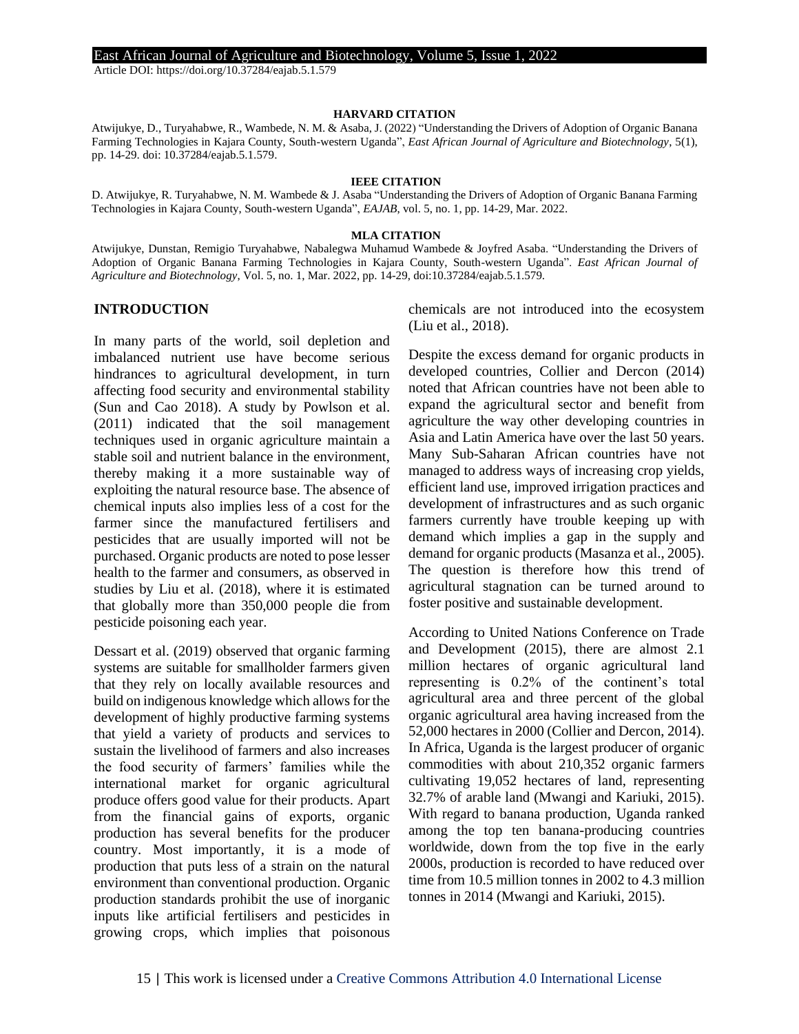Article DOI: https://doi.org/10.37284/eajab.5.1.579

#### **HARVARD CITATION**

Atwijukye, D., Turyahabwe, R., Wambede, N. M. & Asaba, J. (2022) "Understanding the Drivers of Adoption of Organic Banana Farming Technologies in Kajara County, South-western Uganda", *East African Journal of Agriculture and Biotechnology*, 5(1), pp. 14-29. doi: 10.37284/eajab.5.1.579.

#### **IEEE CITATION**

D. Atwijukye, R. Turyahabwe, N. M. Wambede & J. Asaba "Understanding the Drivers of Adoption of Organic Banana Farming Technologies in Kajara County, South-western Uganda", *EAJAB*, vol. 5, no. 1, pp. 14-29, Mar. 2022.

#### **MLA CITATION**

Atwijukye, Dunstan, Remigio Turyahabwe, Nabalegwa Muhamud Wambede & Joyfred Asaba. "Understanding the Drivers of Adoption of Organic Banana Farming Technologies in Kajara County, South-western Uganda". *East African Journal of Agriculture and Biotechnology*, Vol. 5, no. 1, Mar. 2022, pp. 14-29, doi:10.37284/eajab.5.1.579.

### **INTRODUCTION**

In many parts of the world, soil depletion and imbalanced nutrient use have become serious hindrances to agricultural development, in turn affecting food security and environmental stability (Sun and Cao 2018). A study by Powlson et al. (2011) indicated that the soil management techniques used in organic agriculture maintain a stable soil and nutrient balance in the environment, thereby making it a more sustainable way of exploiting the natural resource base. The absence of chemical inputs also implies less of a cost for the farmer since the manufactured fertilisers and pesticides that are usually imported will not be purchased. Organic products are noted to pose lesser health to the farmer and consumers, as observed in studies by Liu et al. (2018), where it is estimated that globally more than 350,000 people die from pesticide poisoning each year.

Dessart et al. (2019) observed that organic farming systems are suitable for smallholder farmers given that they rely on locally available resources and build on indigenous knowledge which allows for the development of highly productive farming systems that yield a variety of products and services to sustain the livelihood of farmers and also increases the food security of farmers' families while the international market for organic agricultural produce offers good value for their products. Apart from the financial gains of exports, organic production has several benefits for the producer country. Most importantly, it is a mode of production that puts less of a strain on the natural environment than conventional production. Organic production standards prohibit the use of inorganic inputs like artificial fertilisers and pesticides in growing crops, which implies that poisonous chemicals are not introduced into the ecosystem (Liu et al., 2018).

Despite the excess demand for organic products in developed countries, Collier and Dercon (2014) noted that African countries have not been able to expand the agricultural sector and benefit from agriculture the way other developing countries in Asia and Latin America have over the last 50 years. Many Sub-Saharan African countries have not managed to address ways of increasing crop yields, efficient land use, improved irrigation practices and development of infrastructures and as such organic farmers currently have trouble keeping up with demand which implies a gap in the supply and demand for organic products (Masanza et al., 2005). The question is therefore how this trend of agricultural stagnation can be turned around to foster positive and sustainable development.

According to United Nations Conference on Trade and Development (2015), there are almost 2.1 million hectares of organic agricultural land representing is 0.2% of the continent's total agricultural area and three percent of the global organic agricultural area having increased from the 52,000 hectares in 2000 (Collier and Dercon, 2014). In Africa, Uganda is the largest producer of organic commodities with about 210,352 organic farmers cultivating 19,052 hectares of land, representing 32.7% of arable land (Mwangi and Kariuki, 2015). With regard to banana production, Uganda ranked among the top ten banana-producing countries worldwide, down from the top five in the early 2000s, production is recorded to have reduced over time from 10.5 million tonnes in 2002 to 4.3 million tonnes in 2014 (Mwangi and Kariuki, 2015).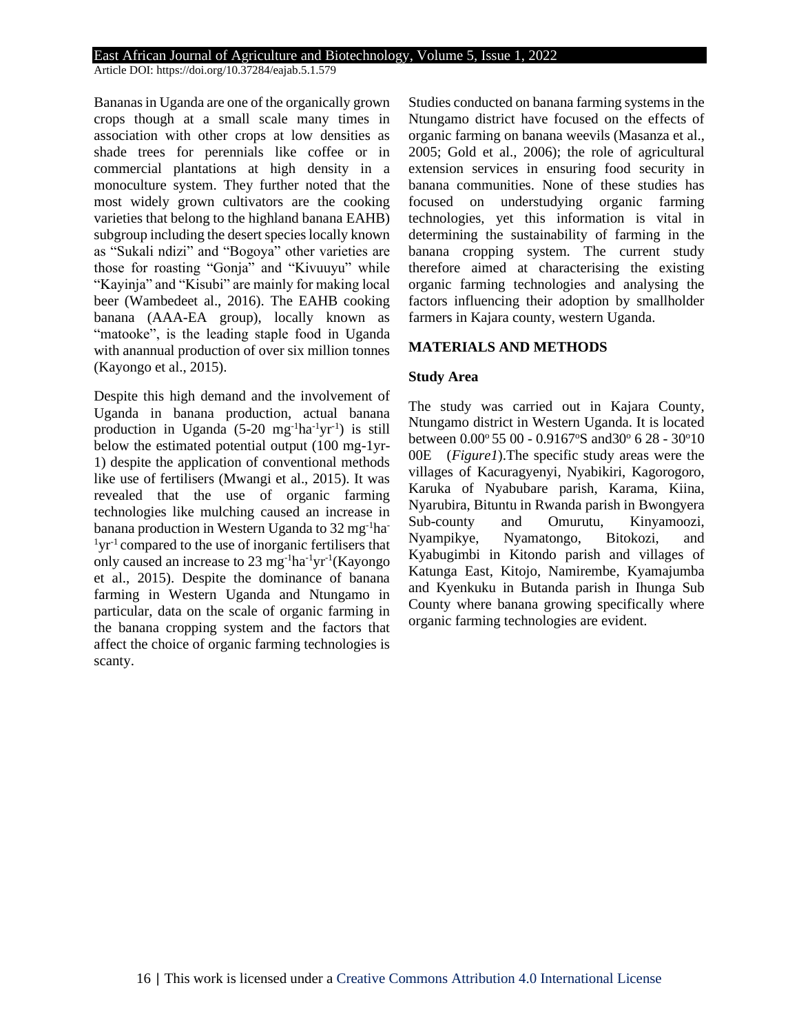Article DOI: https://doi.org/10.37284/eajab.5.1.579

Bananas in Uganda are one of the organically grown crops though at a small scale many times in association with other crops at low densities as shade trees for perennials like coffee or in commercial plantations at high density in a monoculture system. They further noted that the most widely grown cultivators are the cooking varieties that belong to the highland banana EAHB) subgroup including the desert species locally known as "Sukali ndizi" and "Bogoya" other varieties are those for roasting "Gonja" and "Kivuuyu" while "Kayinja" and "Kisubi" are mainly for making local beer (Wambedeet al., 2016). The EAHB cooking banana (AAA-EA group), locally known as "matooke", is the leading staple food in Uganda with anannual production of over six million tonnes (Kayongo et al., 2015).

Despite this high demand and the involvement of Uganda in banana production, actual banana production in Uganda  $(5{\text -}20 \text{ mg}^{-1} \text{ha}^{-1} \text{yr}^{-1})$  is still below the estimated potential output (100 mg-1yr-1) despite the application of conventional methods like use of fertilisers (Mwangi et al., 2015). It was revealed that the use of organic farming technologies like mulching caused an increase in banana production in Western Uganda to 32 mg-1ha- $1yr^{-1}$  compared to the use of inorganic fertilisers that only caused an increase to 23 mg<sup>-1</sup>ha<sup>-1</sup>yr<sup>-1</sup>(Kayongo et al., 2015). Despite the dominance of banana farming in Western Uganda and Ntungamo in particular, data on the scale of organic farming in the banana cropping system and the factors that affect the choice of organic farming technologies is scanty.

Studies conducted on banana farming systems in the Ntungamo district have focused on the effects of organic farming on banana weevils (Masanza et al., 2005; Gold et al., 2006); the role of agricultural extension services in ensuring food security in banana communities. None of these studies has focused on understudying organic farming technologies, yet this information is vital in determining the sustainability of farming in the banana cropping system. The current study therefore aimed at characterising the existing organic farming technologies and analysing the factors influencing their adoption by smallholder farmers in Kajara county, western Uganda.

### **MATERIALS AND METHODS**

### **Study Area**

The study was carried out in Kajara County, Ntungamo district in Western Uganda. It is located between 0.00° 55 00 - 0.9167°S and30° 6 28 - 30°10 00E (*Figure1*).The specific study areas were the villages of Kacuragyenyi, Nyabikiri, Kagorogoro, Karuka of Nyabubare parish, Karama, Kiina, Nyarubira, Bituntu in Rwanda parish in Bwongyera Sub-county and Omurutu, Kinyamoozi, Nyampikye, Nyamatongo, Bitokozi, and Kyabugimbi in Kitondo parish and villages of Katunga East, Kitojo, Namirembe, Kyamajumba and Kyenkuku in Butanda parish in Ihunga Sub County where banana growing specifically where organic farming technologies are evident.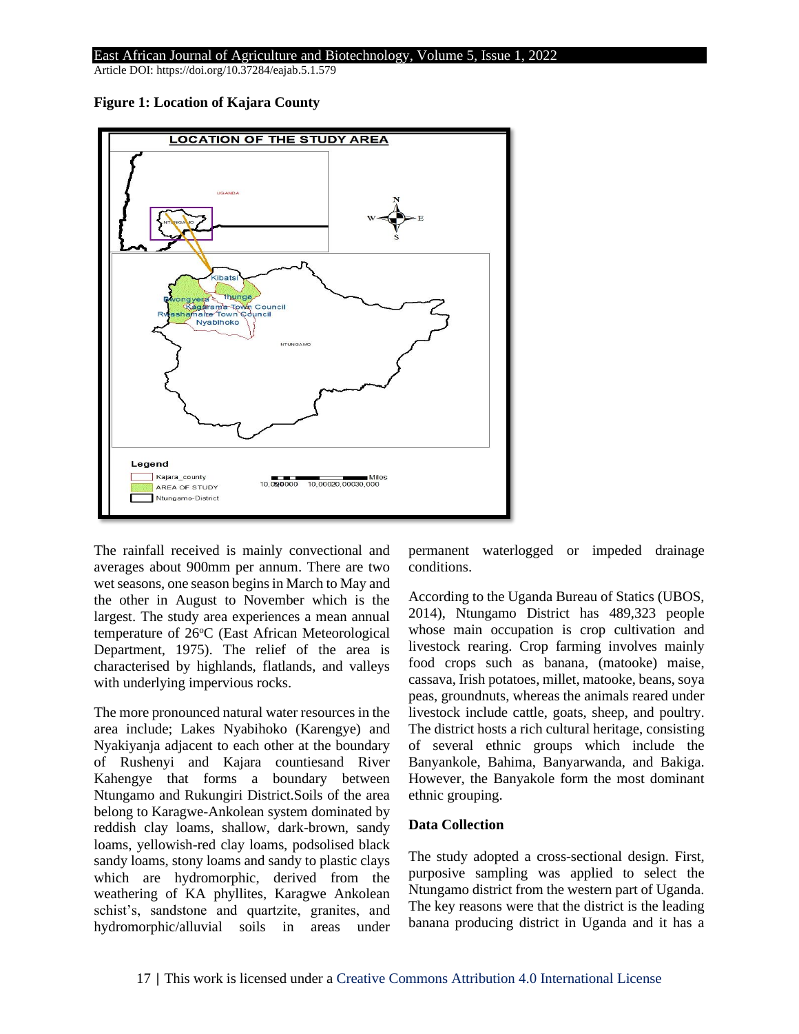Article DOI: https://doi.org/10.37284/eajab.5.1.579





The rainfall received is mainly convectional and averages about 900mm per annum. There are two wet seasons, one season begins in March to May and the other in August to November which is the largest. The study area experiences a mean annual temperature of 26°C (East African Meteorological Department, 1975). The relief of the area is characterised by highlands, flatlands, and valleys with underlying impervious rocks.

The more pronounced natural water resources in the area include; Lakes Nyabihoko (Karengye) and Nyakiyanja adjacent to each other at the boundary of Rushenyi and Kajara countiesand River Kahengye that forms a boundary between Ntungamo and Rukungiri District.Soils of the area belong to Karagwe-Ankolean system dominated by reddish clay loams, shallow, dark-brown, sandy loams, yellowish-red clay loams, podsolised black sandy loams, stony loams and sandy to plastic clays which are hydromorphic, derived from the weathering of KA phyllites, Karagwe Ankolean schist's, sandstone and quartzite, granites, and hydromorphic/alluvial soils in areas under permanent waterlogged or impeded drainage conditions.

According to the Uganda Bureau of Statics (UBOS, 2014), Ntungamo District has 489,323 people whose main occupation is crop cultivation and livestock rearing. Crop farming involves mainly food crops such as banana, (matooke) maise, cassava, Irish potatoes, millet, matooke, beans, soya peas, groundnuts, whereas the animals reared under livestock include cattle, goats, sheep, and poultry. The district hosts a rich cultural heritage, consisting of several ethnic groups which include the Banyankole, Bahima, Banyarwanda, and Bakiga. However, the Banyakole form the most dominant ethnic grouping.

### **Data Collection**

The study adopted a cross-sectional design. First, purposive sampling was applied to select the Ntungamo district from the western part of Uganda. The key reasons were that the district is the leading banana producing district in Uganda and it has a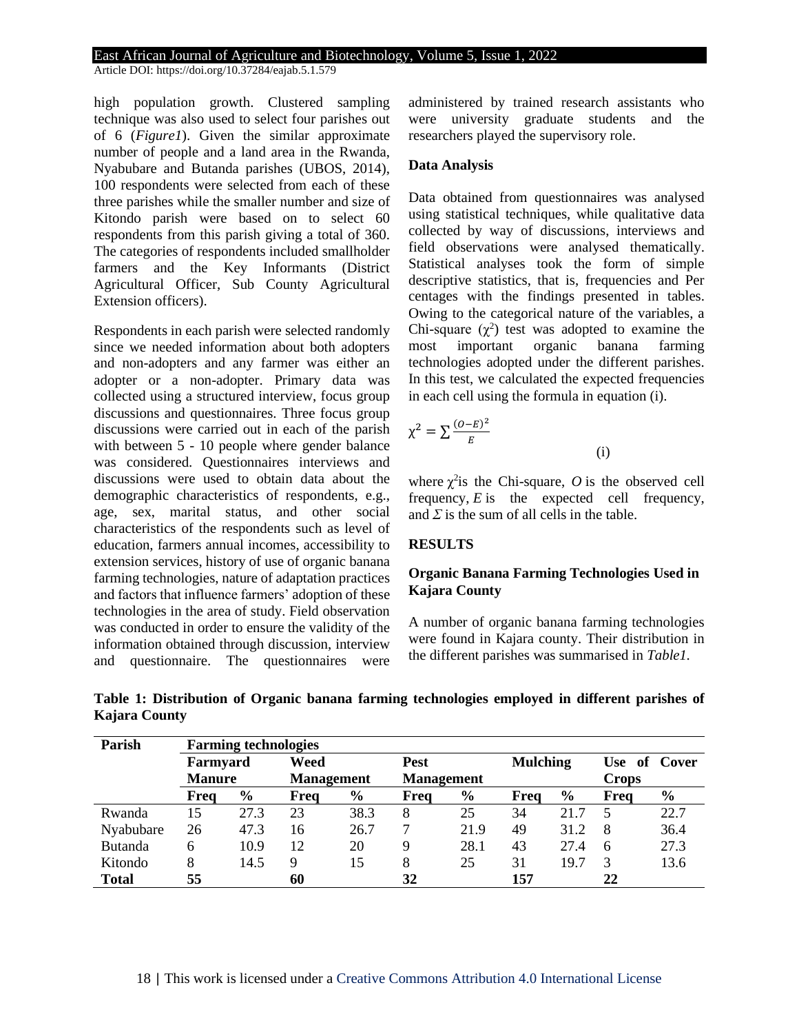Article DOI: https://doi.org/10.37284/eajab.5.1.579

high population growth. Clustered sampling technique was also used to select four parishes out of 6 (*Figure1*). Given the similar approximate number of people and a land area in the Rwanda, Nyabubare and Butanda parishes (UBOS, 2014), 100 respondents were selected from each of these three parishes while the smaller number and size of Kitondo parish were based on to select 60 respondents from this parish giving a total of 360. The categories of respondents included smallholder farmers and the Key Informants (District Agricultural Officer, Sub County Agricultural Extension officers).

Respondents in each parish were selected randomly since we needed information about both adopters and non-adopters and any farmer was either an adopter or a non-adopter. Primary data was collected using a structured interview, focus group discussions and questionnaires. Three focus group discussions were carried out in each of the parish with between 5 - 10 people where gender balance was considered. Questionnaires interviews and discussions were used to obtain data about the demographic characteristics of respondents, e.g., age, sex, marital status, and other social characteristics of the respondents such as level of education, farmers annual incomes, accessibility to extension services, history of use of organic banana farming technologies, nature of adaptation practices and factors that influence farmers' adoption of these technologies in the area of study. Field observation was conducted in order to ensure the validity of the information obtained through discussion, interview and questionnaire. The questionnaires were

administered by trained research assistants who were university graduate students and the researchers played the supervisory role.

### **Data Analysis**

Data obtained from questionnaires was analysed using statistical techniques, while qualitative data collected by way of discussions, interviews and field observations were analysed thematically. Statistical analyses took the form of simple descriptive statistics, that is, frequencies and Per centages with the findings presented in tables. Owing to the categorical nature of the variables, a Chi-square  $(\chi^2)$  test was adopted to examine the most important organic banana farming technologies adopted under the different parishes. In this test, we calculated the expected frequencies in each cell using the formula in equation (i).

$$
\chi^2 = \sum \frac{(O-E)^2}{E}
$$

where  $\chi^2$  is the Chi-square, O is the observed cell frequency, *E* is the expected cell frequency, and  $\Sigma$  is the sum of all cells in the table.

(i)

### **RESULTS**

### **Organic Banana Farming Technologies Used in Kajara County**

A number of organic banana farming technologies were found in Kajara county. Their distribution in the different parishes was summarised in *Table1.*

| Parish         |               | <b>Farming technologies</b> |                   |               |                   |               |                 |               |              |               |
|----------------|---------------|-----------------------------|-------------------|---------------|-------------------|---------------|-----------------|---------------|--------------|---------------|
|                | Farmyard      |                             | Weed              |               | <b>Pest</b>       |               | <b>Mulching</b> |               |              | Use of Cover  |
|                | <b>Manure</b> |                             | <b>Management</b> |               | <b>Management</b> |               |                 |               | <b>Crops</b> |               |
|                | Freq          | $\frac{0}{0}$               | Freq              | $\frac{6}{6}$ | Freq              | $\frac{0}{0}$ | Freq            | $\frac{0}{0}$ | Freq         | $\frac{6}{6}$ |
| Rwanda         | 15            | 27.3                        | 23                | 38.3          | 8                 | 25            | 34              | 21.7          |              | 22.7          |
| Nyabubare      | 26            | 47.3                        | 16                | 26.7          | 7                 | 21.9          | 49              | 31.2          | -8           | 36.4          |
| <b>Butanda</b> | 6             | 10.9                        | 12                | 20            | 9                 | 28.1          | 43              | 27.4          | 6            | 27.3          |
| Kitondo        | 8             | 14.5                        | 9                 | 15            | 8                 | 25            | 31              | 19.7          | 3            | 13.6          |
| <b>Total</b>   | 55            |                             | 60                |               | 32                |               | 157             |               | 22           |               |

**Table 1: Distribution of Organic banana farming technologies employed in different parishes of Kajara County**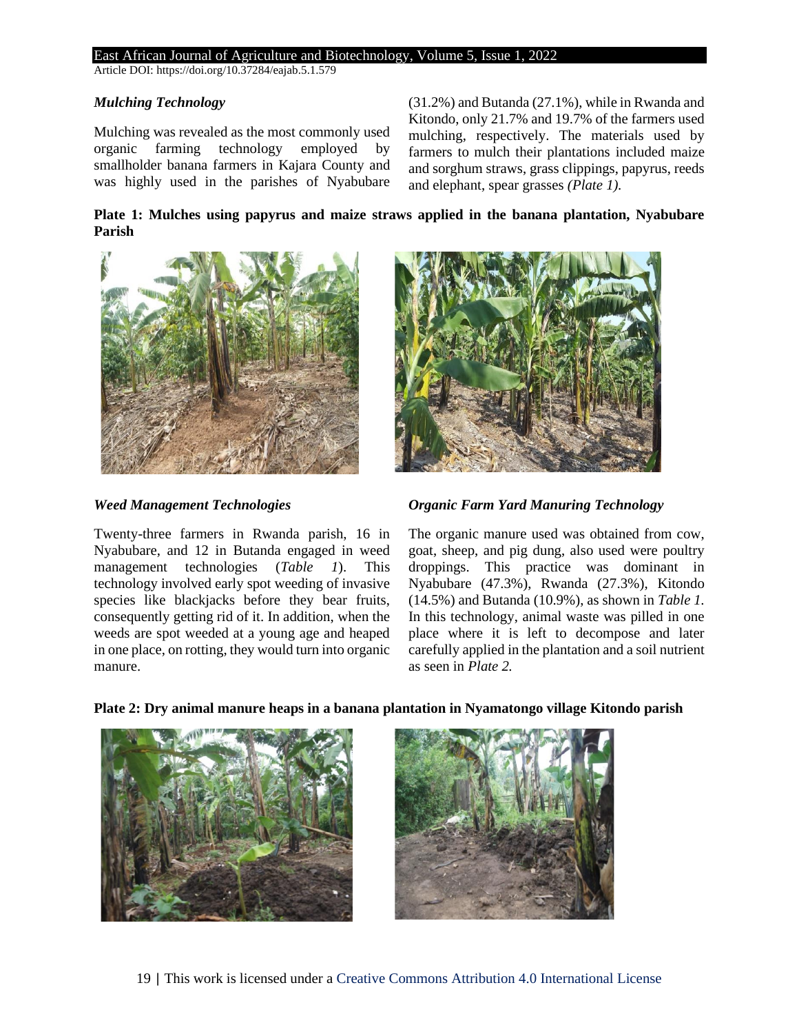Article DOI: https://doi.org/10.37284/eajab.5.1.579

### *Mulching Technology*

Mulching was revealed as the most commonly used organic farming technology employed by smallholder banana farmers in Kajara County and was highly used in the parishes of Nyabubare

(31.2%) and Butanda (27.1%), while in Rwanda and Kitondo, only 21.7% and 19.7% of the farmers used mulching, respectively. The materials used by farmers to mulch their plantations included maize and sorghum straws, grass clippings, papyrus, reeds and elephant, spear grasses *(Plate 1).*

**Plate 1: Mulches using papyrus and maize straws applied in the banana plantation, Nyabubare Parish**



### *Weed Management Technologies*

Twenty-three farmers in Rwanda parish, 16 in Nyabubare, and 12 in Butanda engaged in weed management technologies (*Table 1*). This technology involved early spot weeding of invasive species like blackjacks before they bear fruits, consequently getting rid of it. In addition, when the weeds are spot weeded at a young age and heaped in one place, on rotting, they would turn into organic manure.



*Organic Farm Yard Manuring Technology*

The organic manure used was obtained from cow, goat, sheep, and pig dung, also used were poultry droppings. This practice was dominant in Nyabubare (47.3%), Rwanda (27.3%), Kitondo (14.5%) and Butanda (10.9%), as shown in *Table 1.* In this technology, animal waste was pilled in one place where it is left to decompose and later carefully applied in the plantation and a soil nutrient as seen in *Plate 2.*

# **Plate 2: Dry animal manure heaps in a banana plantation in Nyamatongo village Kitondo parish**



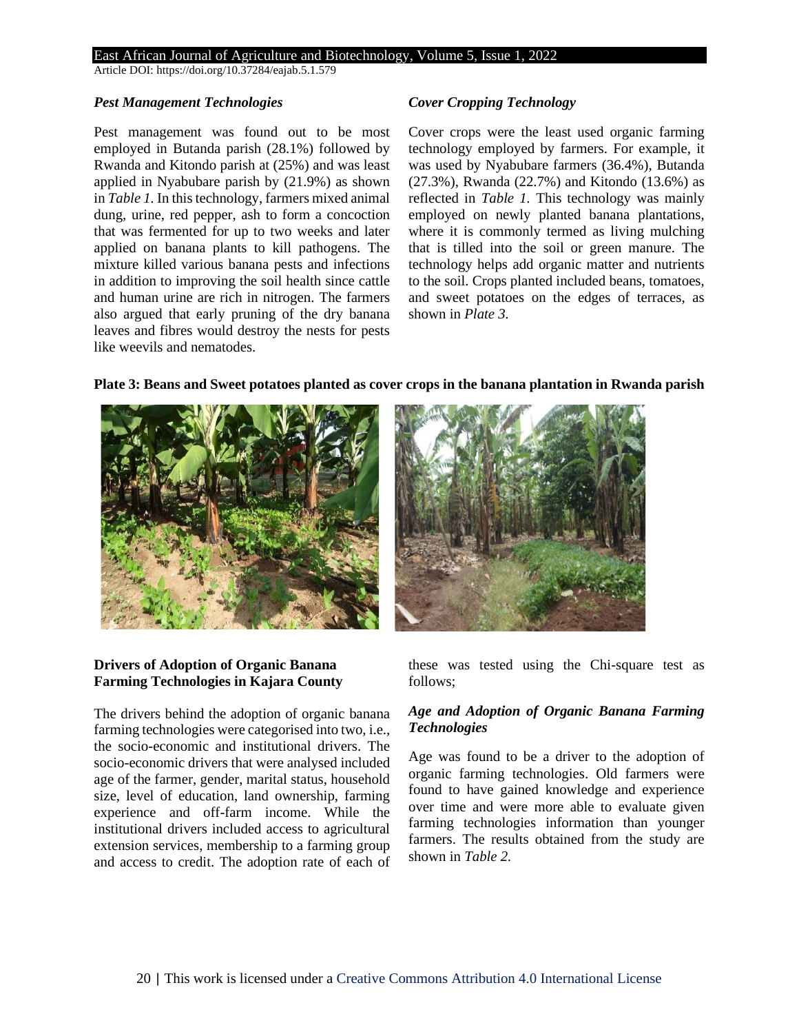Article DOI: https://doi.org/10.37284/eajab.5.1.579

#### *Pest Management Technologies*

Pest management was found out to be most employed in Butanda parish (28.1%) followed by Rwanda and Kitondo parish at (25%) and was least applied in Nyabubare parish by (21.9%) as shown in *Table 1.* In this technology, farmers mixed animal dung, urine, red pepper, ash to form a concoction that was fermented for up to two weeks and later applied on banana plants to kill pathogens. The mixture killed various banana pests and infections in addition to improving the soil health since cattle and human urine are rich in nitrogen. The farmers also argued that early pruning of the dry banana leaves and fibres would destroy the nests for pests like weevils and nematodes.

### *Cover Cropping Technology*

Cover crops were the least used organic farming technology employed by farmers. For example, it was used by Nyabubare farmers (36.4%), Butanda (27.3%), Rwanda (22.7%) and Kitondo (13.6%) as reflected in *Table 1.* This technology was mainly employed on newly planted banana plantations, where it is commonly termed as living mulching that is tilled into the soil or green manure. The technology helps add organic matter and nutrients to the soil. Crops planted included beans, tomatoes, and sweet potatoes on the edges of terraces, as shown in *Plate 3.*



### **Plate 3: Beans and Sweet potatoes planted as cover crops in the banana plantation in Rwanda parish**

### these was tested using the Chi-square test as follows;

# *Age and Adoption of Organic Banana Farming Technologies*

Age was found to be a driver to the adoption of organic farming technologies. Old farmers were found to have gained knowledge and experience over time and were more able to evaluate given farming technologies information than younger farmers. The results obtained from the study are shown in *Table 2.*

# **Drivers of Adoption of Organic Banana Farming Technologies in Kajara County**

The drivers behind the adoption of organic banana farming technologies were categorised into two, i.e., the socio-economic and institutional drivers. The socio-economic drivers that were analysed included age of the farmer, gender, marital status, household size, level of education, land ownership, farming experience and off-farm income. While the institutional drivers included access to agricultural extension services, membership to a farming group and access to credit. The adoption rate of each of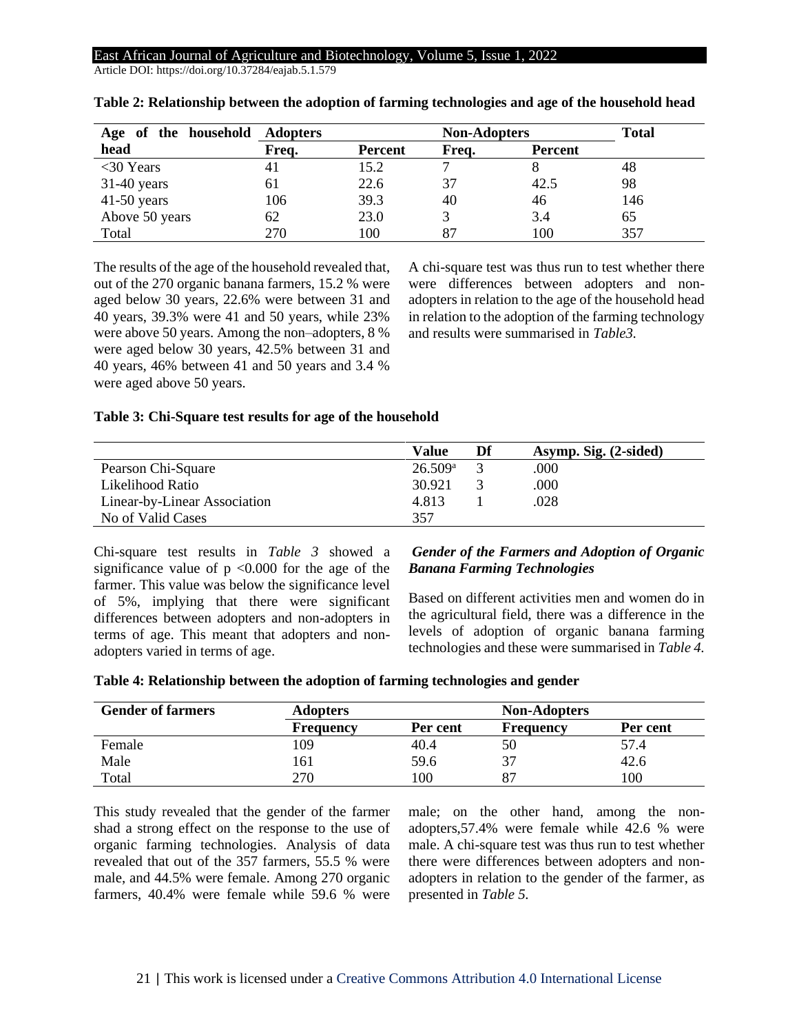Article DOI: https://doi.org/10.37284/eajab.5.1.579

| Age of the household Adopters |       |                | <b>Non-Adopters</b> |                | <b>Total</b> |
|-------------------------------|-------|----------------|---------------------|----------------|--------------|
| head                          | Freq. | <b>Percent</b> | Frea.               | <b>Percent</b> |              |
| $<$ 30 Years                  |       | 15.2           |                     |                | 48           |
| $31-40$ years                 | 61    | 22.6           | 37                  | 42.5           | 98           |
| $41-50$ years                 | 106   | 39.3           | 40                  | 46             | 146          |
| Above 50 years                | 62    | 23.0           |                     | 3.4            | 65           |
| Total                         | 270   | 100            |                     | 100            | 357          |

| Table 2: Relationship between the adoption of farming technologies and age of the household head |  |  |  |  |
|--------------------------------------------------------------------------------------------------|--|--|--|--|
|                                                                                                  |  |  |  |  |

The results of the age of the household revealed that, out of the 270 organic banana farmers, 15.2 % were aged below 30 years, 22.6% were between 31 and 40 years, 39.3% were 41 and 50 years, while 23% were above 50 years. Among the non–adopters, 8 % were aged below 30 years, 42.5% between 31 and 40 years, 46% between 41 and 50 years and 3.4 % were aged above 50 years.

A chi-square test was thus run to test whether there were differences between adopters and nonadopters in relation to the age of the household head in relation to the adoption of the farming technology and results were summarised in *Table3.*

### **Table 3: Chi-Square test results for age of the household**

|                              | Value            | Df | Asymp. Sig. (2-sided) |
|------------------------------|------------------|----|-----------------------|
| Pearson Chi-Square           | $26.509^{\circ}$ |    | .000                  |
| Likelihood Ratio             | 30.921           |    | .000                  |
| Linear-by-Linear Association | 4.813            |    | .028                  |
| No of Valid Cases            | 357              |    |                       |

Chi-square test results in *Table 3* showed a significance value of  $p \le 0.000$  for the age of the farmer. This value was below the significance level of 5%, implying that there were significant differences between adopters and non-adopters in terms of age. This meant that adopters and nonadopters varied in terms of age.

### *Gender of the Farmers and Adoption of Organic Banana Farming Technologies*

Based on different activities men and women do in the agricultural field, there was a difference in the levels of adoption of organic banana farming technologies and these were summarised in *Table 4.*

| Table 4: Relationship between the adoption of farming technologies and gender |  |  |  |  |
|-------------------------------------------------------------------------------|--|--|--|--|
|                                                                               |  |  |  |  |

| <b>Gender of farmers</b> | <b>Adopters</b>  |          | <b>Non-Adopters</b> |          |
|--------------------------|------------------|----------|---------------------|----------|
|                          | <b>Frequency</b> | Per cent | <b>Frequency</b>    | Per cent |
| Female                   | 109              | 40.4     | 50                  | 57.4     |
| Male                     | 161              | 59.6     | 37                  | 42.6     |
| Total                    | 270              | $_{00}$  |                     | 00       |

This study revealed that the gender of the farmer shad a strong effect on the response to the use of organic farming technologies. Analysis of data revealed that out of the 357 farmers, 55.5 % were male, and 44.5% were female. Among 270 organic farmers, 40.4% were female while 59.6 % were male; on the other hand, among the nonadopters,57.4% were female while 42.6 % were male. A chi-square test was thus run to test whether there were differences between adopters and nonadopters in relation to the gender of the farmer, as presented in *Table 5.*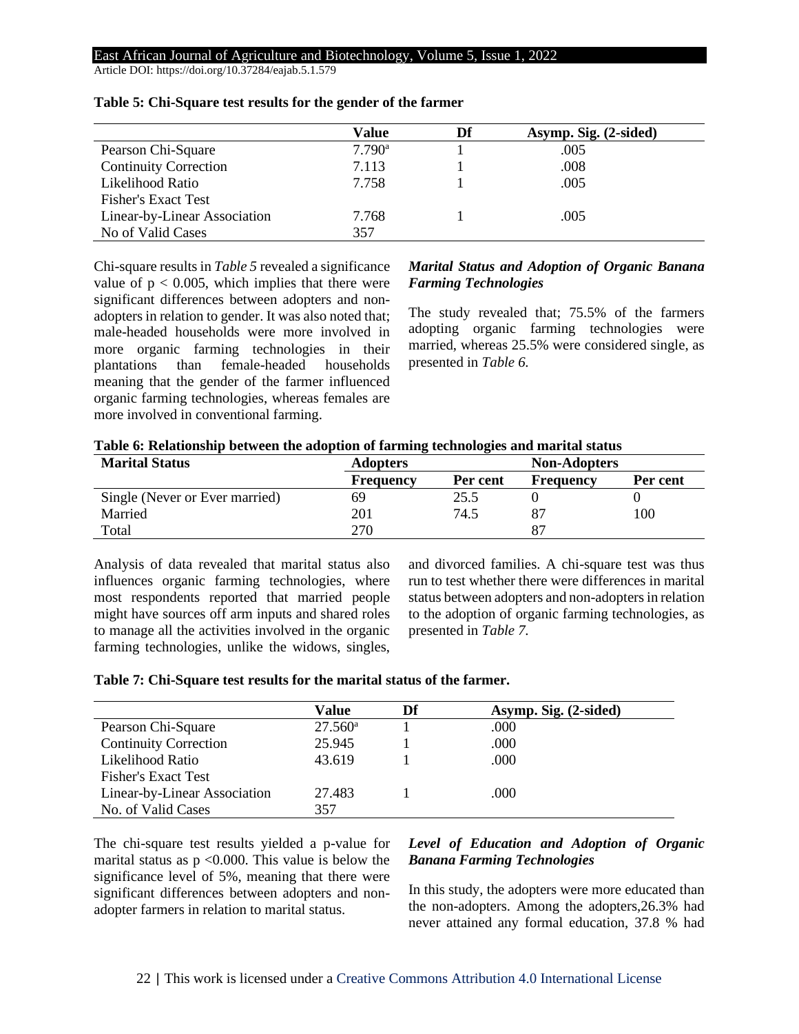Article DOI: https://doi.org/10.37284/eajab.5.1.579

|                              | Value           | Df | Asymp. Sig. (2-sided) |
|------------------------------|-----------------|----|-----------------------|
| Pearson Chi-Square           | $7.790^{\rm a}$ |    | .005                  |
| <b>Continuity Correction</b> | 7.113           |    | .008                  |
| Likelihood Ratio             | 7.758           |    | .005                  |
| <b>Fisher's Exact Test</b>   |                 |    |                       |
| Linear-by-Linear Association | 7.768           |    | .005                  |
| No of Valid Cases            | 357             |    |                       |

#### **Table 5: Chi-Square test results for the gender of the farmer**

Chi-square results in *Table 5* revealed a significance value of  $p < 0.005$ , which implies that there were significant differences between adopters and nonadopters in relation to gender. It was also noted that; male-headed households were more involved in more organic farming technologies in their plantations than female-headed households meaning that the gender of the farmer influenced organic farming technologies, whereas females are more involved in conventional farming.

### *Marital Status and Adoption of Organic Banana Farming Technologies*

The study revealed that; 75.5% of the farmers adopting organic farming technologies were married, whereas 25.5% were considered single, as presented in *Table 6.* 

| Table 6: Relationship between the adoption of farming technologies and marital status |  |  |  |  |
|---------------------------------------------------------------------------------------|--|--|--|--|
|---------------------------------------------------------------------------------------|--|--|--|--|

| <b>Marital Status</b>          | <b>Adopters</b>  |          | <b>Non-Adopters</b> |          |
|--------------------------------|------------------|----------|---------------------|----------|
|                                | <b>Frequency</b> | Per cent | Frequency           | Per cent |
| Single (Never or Ever married) | 69               | 25.5     |                     |          |
| Married                        | 201              | 74.5     |                     | 100      |
| Total                          | 270              |          | 87                  |          |

Analysis of data revealed that marital status also influences organic farming technologies, where most respondents reported that married people might have sources off arm inputs and shared roles to manage all the activities involved in the organic farming technologies, unlike the widows, singles, and divorced families. A chi-square test was thus run to test whether there were differences in marital status between adopters and non-adopters in relation to the adoption of organic farming technologies, as presented in *Table 7.*

|  |  |  | Table 7: Chi-Square test results for the marital status of the farmer. |  |
|--|--|--|------------------------------------------------------------------------|--|
|--|--|--|------------------------------------------------------------------------|--|

|                              | Value            | Df | Asymp. Sig. (2-sided) |
|------------------------------|------------------|----|-----------------------|
| Pearson Chi-Square           | $27.560^{\circ}$ |    | .000                  |
| <b>Continuity Correction</b> | 25.945           |    | .000                  |
| Likelihood Ratio             | 43.619           |    | .000                  |
| <b>Fisher's Exact Test</b>   |                  |    |                       |
| Linear-by-Linear Association | 27.483           |    | .000                  |
| No. of Valid Cases           | 357              |    |                       |

The chi-square test results yielded a p-value for marital status as  $p \le 0.000$ . This value is below the significance level of 5%, meaning that there were significant differences between adopters and nonadopter farmers in relation to marital status.

### *Level of Education and Adoption of Organic Banana Farming Technologies*

In this study, the adopters were more educated than the non-adopters. Among the adopters,26.3% had never attained any formal education, 37.8 % had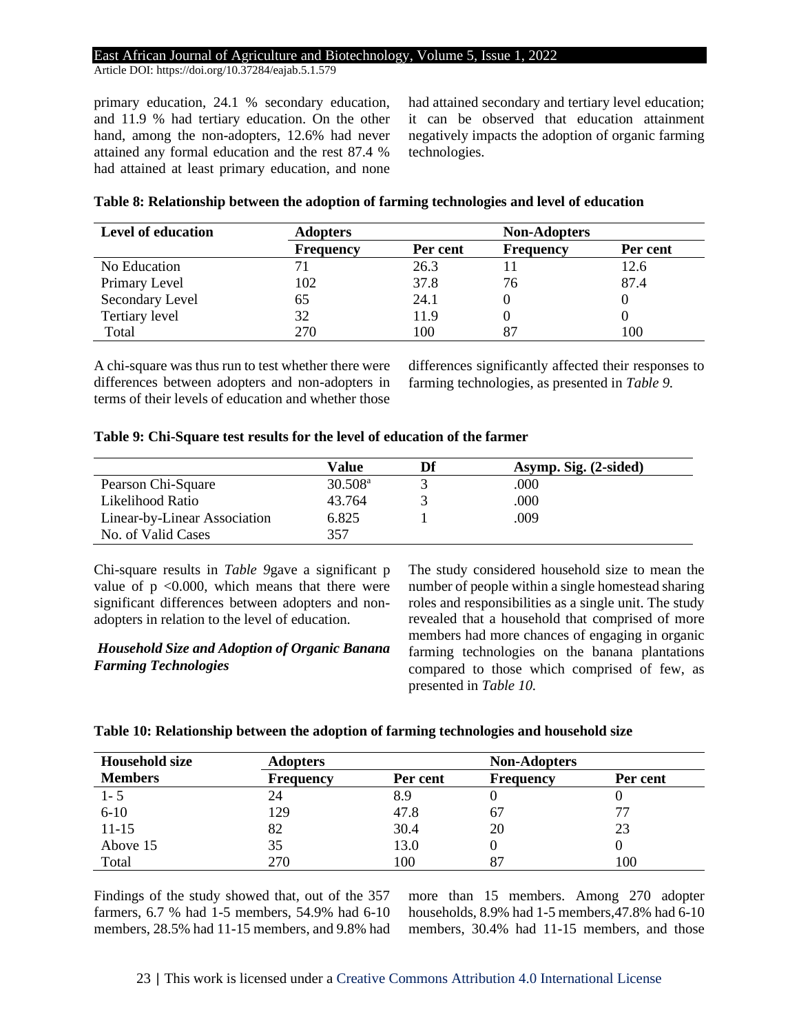Article DOI: https://doi.org/10.37284/eajab.5.1.579

primary education, 24.1 % secondary education, and 11.9 % had tertiary education. On the other hand, among the non-adopters, 12.6% had never attained any formal education and the rest 87.4 % had attained at least primary education, and none had attained secondary and tertiary level education; it can be observed that education attainment negatively impacts the adoption of organic farming technologies.

|  | Table 8: Relationship between the adoption of farming technologies and level of education |
|--|-------------------------------------------------------------------------------------------|
|--|-------------------------------------------------------------------------------------------|

| <b>Level of education</b> | <b>Adopters</b>  |          | <b>Non-Adopters</b> |          |
|---------------------------|------------------|----------|---------------------|----------|
|                           | <b>Frequency</b> | Per cent | <b>Frequency</b>    | Per cent |
| No Education              |                  | 26.3     |                     | 12.6     |
| Primary Level             | 102              | 37.8     | 76                  | 87.4     |
| Secondary Level           | 65               | 24.1     |                     |          |
| Tertiary level            | 32               | 11.9     |                     |          |
| Total                     | 270              | 100      |                     | 100      |

A chi-square was thus run to test whether there were differences between adopters and non-adopters in terms of their levels of education and whether those differences significantly affected their responses to farming technologies, as presented in *Table 9.*

### **Table 9: Chi-Square test results for the level of education of the farmer**

|                              | Value               | Df | Asymp. Sig. (2-sided) |
|------------------------------|---------------------|----|-----------------------|
| Pearson Chi-Square           | 30.508 <sup>a</sup> |    | .000                  |
| Likelihood Ratio             | 43.764              |    | .000                  |
| Linear-by-Linear Association | 6.825               |    | .009                  |
| No. of Valid Cases           | 357                 |    |                       |

Chi-square results in *Table 9*gave a significant p value of  $p \leq 0.000$ , which means that there were significant differences between adopters and nonadopters in relation to the level of education.

### *Household Size and Adoption of Organic Banana Farming Technologies*

The study considered household size to mean the number of people within a single homestead sharing roles and responsibilities as a single unit. The study revealed that a household that comprised of more members had more chances of engaging in organic farming technologies on the banana plantations compared to those which comprised of few, as presented in *Table 10.*

#### **Table 10: Relationship between the adoption of farming technologies and household size**

| <b>Household size</b> | <b>Adopters</b>  |          | <b>Non-Adopters</b> |          |
|-----------------------|------------------|----------|---------------------|----------|
| <b>Members</b>        | <b>Frequency</b> | Per cent | <b>Frequency</b>    | Per cent |
| $1 - 5$               | 24               | 8.9      |                     |          |
| $6-10$                | 129              | 47.8     | 67                  | 77       |
| $11 - 15$             | 82               | 30.4     | 20                  | 23       |
| Above 15              | 35               | 13.0     |                     |          |
| Total                 | 270              | 100      |                     | 100      |

Findings of the study showed that, out of the 357 farmers, 6.7 % had 1-5 members, 54.9% had 6-10 members, 28.5% had 11-15 members, and 9.8% had more than 15 members. Among 270 adopter households, 8.9% had 1-5 members,47.8% had 6-10 members, 30.4% had 11-15 members, and those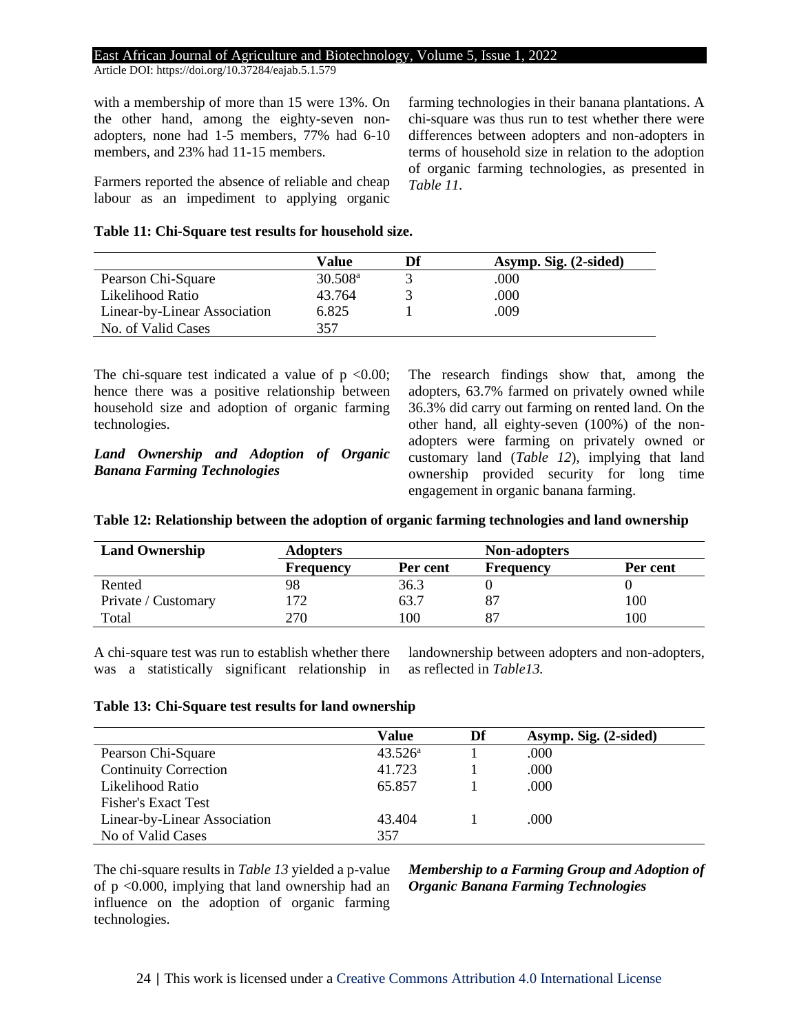Article DOI: https://doi.org/10.37284/eajab.5.1.579

with a membership of more than 15 were 13%. On the other hand, among the eighty-seven nonadopters, none had 1-5 members, 77% had 6-10 members, and 23% had 11-15 members.

Farmers reported the absence of reliable and cheap labour as an impediment to applying organic farming technologies in their banana plantations. A chi-square was thus run to test whether there were differences between adopters and non-adopters in terms of household size in relation to the adoption of organic farming technologies, as presented in *Table 11.*

#### **Table 11: Chi-Square test results for household size.**

|                              | Value               | Df | Asymp. Sig. (2-sided) |
|------------------------------|---------------------|----|-----------------------|
| Pearson Chi-Square           | 30.508 <sup>a</sup> |    | .000                  |
| Likelihood Ratio             | 43.764              |    | .000                  |
| Linear-by-Linear Association | 6.825               |    | .009                  |
| No. of Valid Cases           | 357                 |    |                       |

The chi-square test indicated a value of  $p \le 0.00$ ; hence there was a positive relationship between household size and adoption of organic farming technologies.

*Land Ownership and Adoption of Organic Banana Farming Technologies*

The research findings show that, among the adopters, 63.7% farmed on privately owned while 36.3% did carry out farming on rented land. On the other hand, all eighty-seven (100%) of the nonadopters were farming on privately owned or customary land (*Table 12*), implying that land ownership provided security for long time engagement in organic banana farming.

|  | Table 12: Relationship between the adoption of organic farming technologies and land ownership |  |  |  |  |  |
|--|------------------------------------------------------------------------------------------------|--|--|--|--|--|
|  |                                                                                                |  |  |  |  |  |

| <b>Land Ownership</b> | <b>Adopters</b>  |                 | <b>Non-adopters</b> |          |
|-----------------------|------------------|-----------------|---------------------|----------|
|                       | <b>Frequency</b> | Per cent        | <b>Frequency</b>    | Per cent |
| Rented                | 98               | 36.3            |                     |          |
| Private / Customary   | 72               | 63.7            |                     | 100      |
| Total                 | 270              | $\overline{00}$ |                     | 100      |

A chi-square test was run to establish whether there was a statistically significant relationship in landownership between adopters and non-adopters, as reflected in *Table13.*

#### **Table 13: Chi-Square test results for land ownership**

|                              | Value            | Df | Asymp. Sig. (2-sided) |
|------------------------------|------------------|----|-----------------------|
| Pearson Chi-Square           | $43.526^{\rm a}$ |    | .000                  |
| <b>Continuity Correction</b> | 41.723           |    | .000                  |
| Likelihood Ratio             | 65.857           |    | .000                  |
| <b>Fisher's Exact Test</b>   |                  |    |                       |
| Linear-by-Linear Association | 43.404           |    | .000                  |
| No of Valid Cases            | 357              |    |                       |

The chi-square results in *Table 13* yielded a p-value of p <0.000, implying that land ownership had an influence on the adoption of organic farming technologies.

*Membership to a Farming Group and Adoption of Organic Banana Farming Technologies*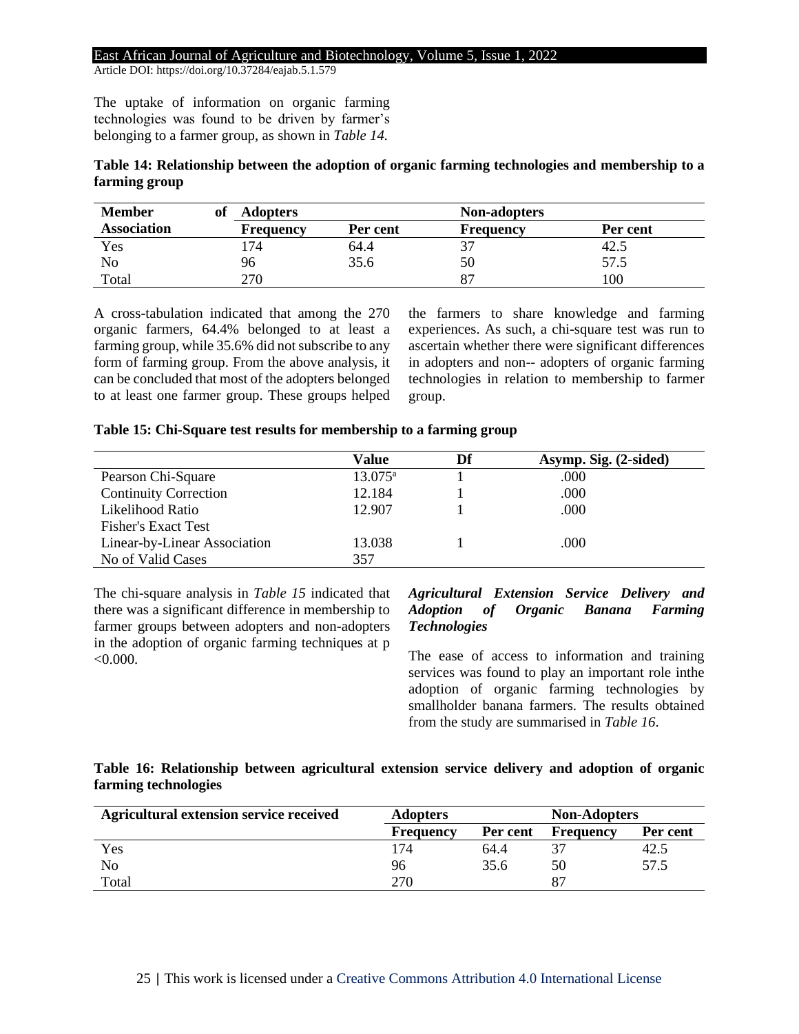Article DOI: https://doi.org/10.37284/eajab.5.1.579

The uptake of information on organic farming technologies was found to be driven by farmer's belonging to a farmer group, as shown in *Table 14.*

| Table 14: Relationship between the adoption of organic farming technologies and membership to a |  |  |
|-------------------------------------------------------------------------------------------------|--|--|
| farming group                                                                                   |  |  |

| <b>Member</b>      | of | <b>Adopters</b>  |          | <b>Non-adopters</b> |          |
|--------------------|----|------------------|----------|---------------------|----------|
| <b>Association</b> |    | <b>Frequency</b> | Per cent | <b>Frequency</b>    | Per cent |
| Yes                |    | ، 74             | 64.4     |                     | 42.5     |
| No                 |    | 96               | 35.6     | 50                  | 57.5     |
| Total              |    | 270              |          |                     | 00،      |

A cross-tabulation indicated that among the 270 organic farmers, 64.4% belonged to at least a farming group, while 35.6% did not subscribe to any form of farming group. From the above analysis, it can be concluded that most of the adopters belonged to at least one farmer group. These groups helped the farmers to share knowledge and farming experiences. As such, a chi-square test was run to ascertain whether there were significant differences in adopters and non-- adopters of organic farming technologies in relation to membership to farmer group.

| Table 15: Chi-Square test results for membership to a farming group |  |  |  |  |  |  |  |
|---------------------------------------------------------------------|--|--|--|--|--|--|--|
|---------------------------------------------------------------------|--|--|--|--|--|--|--|

|                              | Value            | Df | Asymp. Sig. (2-sided) |
|------------------------------|------------------|----|-----------------------|
| Pearson Chi-Square           | $13.075^{\rm a}$ |    | .000                  |
| <b>Continuity Correction</b> | 12.184           |    | .000                  |
| Likelihood Ratio             | 12.907           |    | .000                  |
| <b>Fisher's Exact Test</b>   |                  |    |                       |
| Linear-by-Linear Association | 13.038           |    | .000                  |
| No of Valid Cases            | 357              |    |                       |

The chi-square analysis in *Table 15* indicated that there was a significant difference in membership to farmer groups between adopters and non-adopters in the adoption of organic farming techniques at p  $< 0.000$ .

# *Agricultural Extension Service Delivery and Adoption of Organic Banana Farming Technologies*

The ease of access to information and training services was found to play an important role inthe adoption of organic farming technologies by smallholder banana farmers. The results obtained from the study are summarised in *Table 16*.

### **Table 16: Relationship between agricultural extension service delivery and adoption of organic farming technologies**

| Agricultural extension service received | <b>Adopters</b>  | <b>Non-Adopters</b> |                  |          |
|-----------------------------------------|------------------|---------------------|------------------|----------|
|                                         | <b>Frequency</b> | Per cent            | <b>Frequency</b> | Per cent |
| Yes                                     | 174              | 64.4                |                  | 42.5     |
| No                                      | 96               | 35.6                | 50               | 57.5     |
| Total                                   | 270              |                     | -87              |          |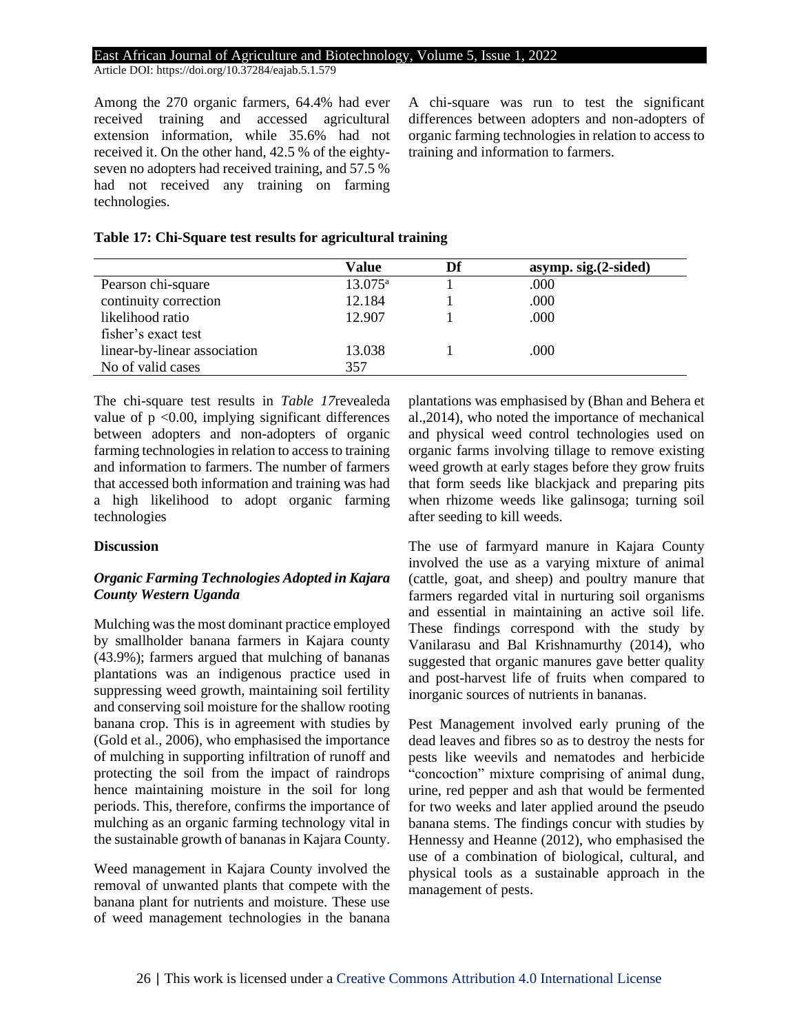Article DOI: https://doi.org/10.37284/eajab.5.1.579

Among the 270 organic farmers, 64.4% had ever received training and accessed agricultural extension information, while 35.6% had not received it. On the other hand, 42.5 % of the eightyseven no adopters had received training, and 57.5 % had not received any training on farming technologies.

A chi-square was run to test the significant differences between adopters and non-adopters of organic farming technologies in relation to access to training and information to farmers.

### **Table 17: Chi-Square test results for agricultural training**

|                              | Value            | asymp. sig. (2-sided) |
|------------------------------|------------------|-----------------------|
| Pearson chi-square           | $13.075^{\rm a}$ | .000                  |
| continuity correction        | 12.184           | .000                  |
| likelihood ratio             | 12.907           | .000                  |
| fisher's exact test          |                  |                       |
| linear-by-linear association | 13.038           | .000                  |
| No of valid cases            | 357              |                       |

The chi-square test results in *Table 17*revealeda value of  $p \le 0.00$ , implying significant differences between adopters and non-adopters of organic farming technologies in relation to access to training and information to farmers. The number of farmers that accessed both information and training was had a high likelihood to adopt organic farming technologies

### **Discussion**

# *Organic Farming Technologies Adopted in Kajara County Western Uganda*

Mulching was the most dominant practice employed by smallholder banana farmers in Kajara county (43.9%); farmers argued that mulching of bananas plantations was an indigenous practice used in suppressing weed growth, maintaining soil fertility and conserving soil moisture for the shallow rooting banana crop. This is in agreement with studies by (Gold et al., 2006), who emphasised the importance of mulching in supporting infiltration of runoff and protecting the soil from the impact of raindrops hence maintaining moisture in the soil for long periods. This, therefore, confirms the importance of mulching as an organic farming technology vital in the sustainable growth of bananas in Kajara County.

Weed management in Kajara County involved the removal of unwanted plants that compete with the banana plant for nutrients and moisture. These use of weed management technologies in the banana plantations was emphasised by (Bhan and Behera et al.,2014), who noted the importance of mechanical and physical weed control technologies used on organic farms involving tillage to remove existing weed growth at early stages before they grow fruits that form seeds like blackjack and preparing pits when rhizome weeds like galinsoga; turning soil after seeding to kill weeds.

The use of farmyard manure in Kajara County involved the use as a varying mixture of animal (cattle, goat, and sheep) and poultry manure that farmers regarded vital in nurturing soil organisms and essential in maintaining an active soil life. These findings correspond with the study by Vanilarasu and Bal Krishnamurthy (2014), who suggested that organic manures gave better quality and post-harvest life of fruits when compared to inorganic sources of nutrients in bananas.

Pest Management involved early pruning of the dead leaves and fibres so as to destroy the nests for pests like weevils and nematodes and herbicide "concoction" mixture comprising of animal dung, urine, red pepper and ash that would be fermented for two weeks and later applied around the pseudo banana stems. The findings concur with studies by Hennessy and Heanne (2012), who emphasised the use of a combination of biological, cultural, and physical tools as a sustainable approach in the management of pests.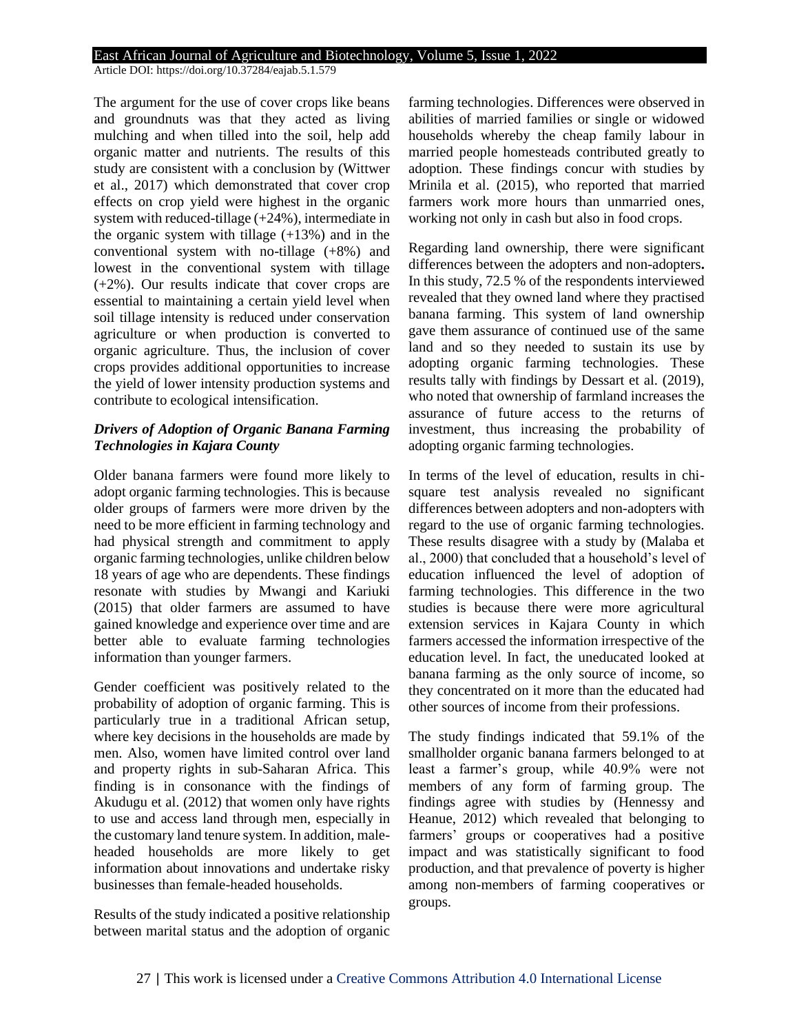Article DOI: https://doi.org/10.37284/eajab.5.1.579

The argument for the use of cover crops like beans and groundnuts was that they acted as living mulching and when tilled into the soil, help add organic matter and nutrients. The results of this study are consistent with a conclusion by (Wittwer et al., 2017) which demonstrated that cover crop effects on crop yield were highest in the organic system with reduced-tillage (+24%), intermediate in the organic system with tillage  $(+13%)$  and in the conventional system with no-tillage (+8%) and lowest in the conventional system with tillage (+2%). Our results indicate that cover crops are essential to maintaining a certain yield level when soil tillage intensity is reduced under conservation agriculture or when production is converted to organic agriculture. Thus, the inclusion of cover crops provides additional opportunities to increase the yield of lower intensity production systems and contribute to ecological intensification.

### *Drivers of Adoption of Organic Banana Farming Technologies in Kajara County*

Older banana farmers were found more likely to adopt organic farming technologies. This is because older groups of farmers were more driven by the need to be more efficient in farming technology and had physical strength and commitment to apply organic farming technologies, unlike children below 18 years of age who are dependents. These findings resonate with studies by Mwangi and Kariuki (2015) that older farmers are assumed to have gained knowledge and experience over time and are better able to evaluate farming technologies information than younger farmers.

Gender coefficient was positively related to the probability of adoption of organic farming. This is particularly true in a traditional African setup, where key decisions in the households are made by men. Also, women have limited control over land and property rights in sub-Saharan Africa. This finding is in consonance with the findings of Akudugu et al. (2012) that women only have rights to use and access land through men, especially in the customary land tenure system. In addition, maleheaded households are more likely to get information about innovations and undertake risky businesses than female-headed households.

Results of the study indicated a positive relationship between marital status and the adoption of organic farming technologies. Differences were observed in abilities of married families or single or widowed households whereby the cheap family labour in married people homesteads contributed greatly to adoption. These findings concur with studies by Mrinila et al. (2015), who reported that married farmers work more hours than unmarried ones, working not only in cash but also in food crops.

Regarding land ownership, there were significant differences between the adopters and non-adopters**.**  In this study, 72.5 % of the respondents interviewed revealed that they owned land where they practised banana farming. This system of land ownership gave them assurance of continued use of the same land and so they needed to sustain its use by adopting organic farming technologies. These results tally with findings by Dessart et al. (2019), who noted that ownership of farmland increases the assurance of future access to the returns of investment, thus increasing the probability of adopting organic farming technologies.

In terms of the level of education, results in chisquare test analysis revealed no significant differences between adopters and non-adopters with regard to the use of organic farming technologies. These results disagree with a study by (Malaba et al., 2000) that concluded that a household's level of education influenced the level of adoption of farming technologies. This difference in the two studies is because there were more agricultural extension services in Kajara County in which farmers accessed the information irrespective of the education level. In fact, the uneducated looked at banana farming as the only source of income, so they concentrated on it more than the educated had other sources of income from their professions.

The study findings indicated that 59.1% of the smallholder organic banana farmers belonged to at least a farmer's group, while 40.9% were not members of any form of farming group. The findings agree with studies by (Hennessy and Heanue, 2012) which revealed that belonging to farmers' groups or cooperatives had a positive impact and was statistically significant to food production, and that prevalence of poverty is higher among non-members of farming cooperatives or groups.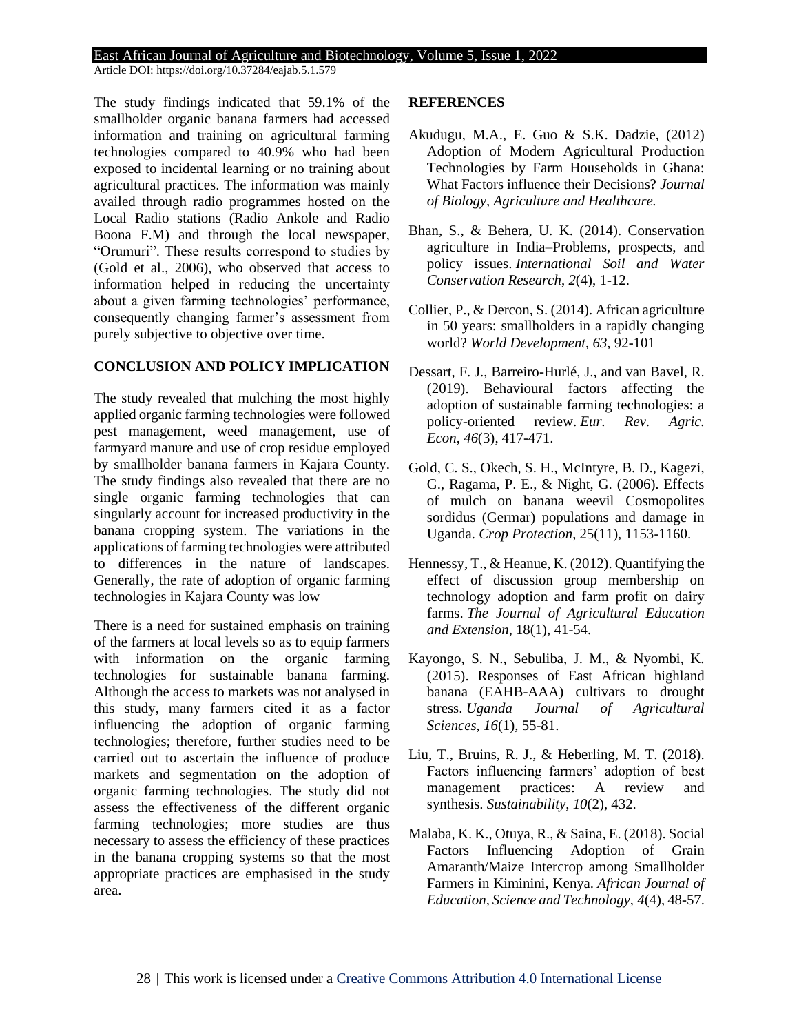Article DOI: https://doi.org/10.37284/eajab.5.1.579

The study findings indicated that 59.1% of the smallholder organic banana farmers had accessed information and training on agricultural farming technologies compared to 40.9% who had been exposed to incidental learning or no training about agricultural practices. The information was mainly availed through radio programmes hosted on the Local Radio stations (Radio Ankole and Radio Boona F.M) and through the local newspaper, "Orumuri". These results correspond to studies by (Gold et al., 2006), who observed that access to information helped in reducing the uncertainty about a given farming technologies' performance, consequently changing farmer's assessment from purely subjective to objective over time.

### **CONCLUSION AND POLICY IMPLICATION**

The study revealed that mulching the most highly applied organic farming technologies were followed pest management, weed management, use of farmyard manure and use of crop residue employed by smallholder banana farmers in Kajara County. The study findings also revealed that there are no single organic farming technologies that can singularly account for increased productivity in the banana cropping system. The variations in the applications of farming technologies were attributed to differences in the nature of landscapes. Generally, the rate of adoption of organic farming technologies in Kajara County was low

There is a need for sustained emphasis on training of the farmers at local levels so as to equip farmers with information on the organic farming technologies for sustainable banana farming. Although the access to markets was not analysed in this study, many farmers cited it as a factor influencing the adoption of organic farming technologies; therefore, further studies need to be carried out to ascertain the influence of produce markets and segmentation on the adoption of organic farming technologies. The study did not assess the effectiveness of the different organic farming technologies; more studies are thus necessary to assess the efficiency of these practices in the banana cropping systems so that the most appropriate practices are emphasised in the study area.

### **REFERENCES**

- Akudugu, M.A., E. Guo & S.K. Dadzie, (2012) Adoption of Modern Agricultural Production Technologies by Farm Households in Ghana: What Factors influence their Decisions? *Journal of Biology, Agriculture and Healthcare.*
- Bhan, S., & Behera, U. K. (2014). Conservation agriculture in India–Problems, prospects, and policy issues. *International Soil and Water Conservation Research*, *2*(4), 1-12.
- Collier, P., & Dercon, S. (2014). African agriculture in 50 years: smallholders in a rapidly changing world? *World Development*, *63*, 92-101
- Dessart, F. J., Barreiro-Hurlé, J., and van Bavel, R. (2019). Behavioural factors affecting the adoption of sustainable farming technologies: a policy-oriented review. *Eur. Rev. Agric. Econ*, *46*(3), 417-471.
- Gold, C. S., Okech, S. H., McIntyre, B. D., Kagezi, G., Ragama, P. E., & Night, G. (2006). Effects of mulch on banana weevil Cosmopolites sordidus (Germar) populations and damage in Uganda. *Crop Protection*, 25(11), 1153-1160.
- Hennessy, T., & Heanue, K. (2012). Quantifying the effect of discussion group membership on technology adoption and farm profit on dairy farms. *The Journal of Agricultural Education and Extension*, 18(1), 41-54.
- Kayongo, S. N., Sebuliba, J. M., & Nyombi, K. (2015). Responses of East African highland banana (EAHB-AAA) cultivars to drought stress. *Uganda Journal of Agricultural Sciences*, *16*(1), 55-81.
- Liu, T., Bruins, R. J., & Heberling, M. T. (2018). Factors influencing farmers' adoption of best management practices: A review and synthesis. *Sustainability*, *10*(2), 432.
- Malaba, K. K., Otuya, R., & Saina, E. (2018). Social Factors Influencing Adoption of Grain Amaranth/Maize Intercrop among Smallholder Farmers in Kiminini, Kenya. *African Journal of Education, Science and Technology*, *4*(4), 48-57.